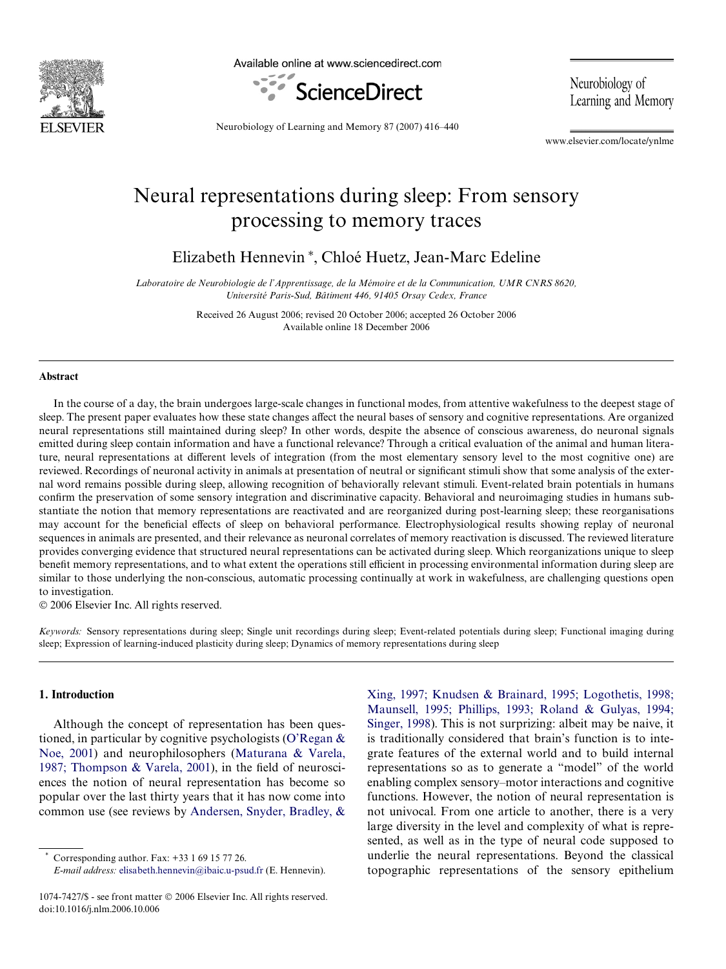

Available online at www.sciencedirect.com



Neurobiology of Learning and Memory

Neurobiology of Learning and Memory 87 (2007) 416–440

www.elsevier.com/locate/ynlme

## Neural representations during sleep: From sensory processing to memory traces

Elizabeth Hennevin<sup>\*</sup>, Chloé Huetz, Jean-Marc Edeline

*Laboratoire de Neurobiologie de l'Apprentissage, de la Mémoire et de la Communication, UMR CNRS 8620, Université Paris-Sud, Bâtiment 446, 91405 Orsay Cedex, France*

> Received 26 August 2006; revised 20 October 2006; accepted 26 October 2006 Available online 18 December 2006

#### **Abstract**

In the course of a day, the brain undergoes large-scale changes in functional modes, from attentive wakefulness to the deepest stage of sleep. The present paper evaluates how these state changes affect the neural bases of sensory and cognitive representations. Are organized neural representations still maintained during sleep? In other words, despite the absence of conscious awareness, do neuronal signals emitted during sleep contain information and have a functional relevance? Through a critical evaluation of the animal and human literature, neural representations at different levels of integration (from the most elementary sensory level to the most cognitive one) are reviewed. Recordings of neuronal activity in animals at presentation of neutral or significant stimuli show that some analysis of the external word remains possible during sleep, allowing recognition of behaviorally relevant stimuli. Event-related brain potentials in humans confirm the preservation of some sensory integration and discriminative capacity. Behavioral and neuroimaging studies in humans substantiate the notion that memory representations are reactivated and are reorganized during post-learning sleep; these reorganisations may account for the beneficial effects of sleep on behavioral performance. Electrophysiological results showing replay of neuronal sequences in animals are presented, and their relevance as neuronal correlates of memory reactivation is discussed. The reviewed literature provides converging evidence that structured neural representations can be activated during sleep. Which reorganizations unique to sleep benefit memory representations, and to what extent the operations still efficient in processing environmental information during sleep are similar to those underlying the non-conscious, automatic processing continually at work in wakefulness, are challenging questions open to investigation.

© 2006 Elsevier Inc. All rights reserved.

*Keywords:* Sensory representations during sleep; Single unit recordings during sleep; Event-related potentials during sleep; Functional imaging during sleep; Expression of learning-induced plasticity during sleep; Dynamics of memory representations during sleep

#### **1. Introduction**

Although the concept of representation has been questioned, in particular by cognitive psychologists [\(O'Regan &](#page--1-0) [Noe, 2001\)](#page--1-0) and neurophilosophers ([Maturana & Varela,](#page--1-1) [1987; Thompson & Varela, 2001\)](#page--1-1), in the field of neurosciences the notion of neural representation has become so popular over the last thirty years that it has now come into common use (see reviews by [Andersen, Snyder, Bradley, &](#page--1-2)

Corresponding author. Fax: +33 1 69 15 77 26.

*E-mail address:* [elisabeth.hennevin@ibaic.u-psud.fr](mailto: elisabeth.hennevin@ibaic.u-psud.fr) (E. Hennevin).

[Xing, 1997; Knudsen & Brainard, 1995; Logothetis, 1998;](#page--1-2) Maunsell, 1995; Phillips, 1993; Roland & Gulyas, 1994; [Singer, 1998](#page--1-2)). This is not surprizing: albeit may be naive, it is traditionally considered that brain's function is to integrate features of the external world and to build internal representations so as to generate a "model" of the world enabling complex sensory–motor interactions and cognitive functions. However, the notion of neural representation is not univocal. From one article to another, there is a very large diversity in the level and complexity of what is represented, as well as in the type of neural code supposed to underlie the neural representations. Beyond the classical topographic representations of the sensory epithelium

<sup>1074-7427/\$ -</sup> see front matter © 2006 Elsevier Inc. All rights reserved. doi:10.1016/j.nlm.2006.10.006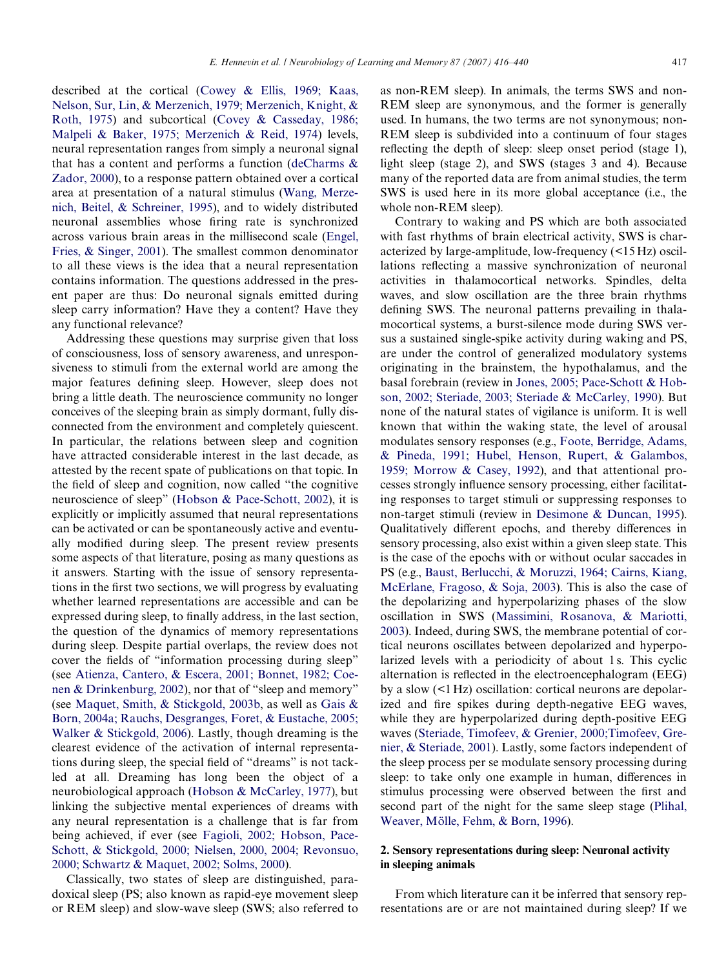described at the cortical [\(Cowey & Ellis, 1969; Kaas,](#page--1-3) [Nelson, Sur, Lin, & Merzenich, 1979; Merzenich, Knight, &](#page--1-3) [Roth, 1975](#page--1-3)) and subcortical [\(Covey & Casseday, 1986;](#page--1-4) [Malpeli & Baker, 1975; Merzenich & Reid, 1974\)](#page--1-4) levels, neural representation ranges from simply a neuronal signal that has a content and performs a function ([deCharms &](#page--1-5) [Zador, 2000\)](#page--1-5), to a response pattern obtained over a cortical area at presentation of a natural stimulus [\(Wang, Merze](#page--1-6)[nich, Beitel, & Schreiner, 1995](#page--1-6)), and to widely distributed neuronal assemblies whose firing rate is synchronized across various brain areas in the millisecond scale [\(Engel,](#page--1-7) [Fries, & Singer, 2001\)](#page--1-7). The smallest common denominator to all these views is the idea that a neural representation contains information. The questions addressed in the present paper are thus: Do neuronal signals emitted during sleep carry information? Have they a content? Have they any functional relevance?

Addressing these questions may surprise given that loss of consciousness, loss of sensory awareness, and unresponsiveness to stimuli from the external world are among the major features defining sleep. However, sleep does not bring a little death. The neuroscience community no longer conceives of the sleeping brain as simply dormant, fully disconnected from the environment and completely quiescent. In particular, the relations between sleep and cognition have attracted considerable interest in the last decade, as attested by the recent spate of publications on that topic. In the field of sleep and cognition, now called "the cognitive" neuroscience of sleep" ([Hobson & Pace-Schott, 2002](#page--1-8)), it is explicitly or implicitly assumed that neural representations can be activated or can be spontaneously active and eventually modified during sleep. The present review presents some aspects of that literature, posing as many questions as it answers. Starting with the issue of sensory representations in the first two sections, we will progress by evaluating whether learned representations are accessible and can be expressed during sleep, to finally address, in the last section, the question of the dynamics of memory representations during sleep. Despite partial overlaps, the review does not cover the fields of "information processing during sleep" (see [Atienza, Cantero, & Escera, 2001; Bonnet, 1982; Coe](#page--1-9)[nen & Drinkenburg, 2002\)](#page--1-9), nor that of "sleep and memory" (see [Maquet, Smith, & Stickgold, 2003b](#page--1-10), as well as [Gais &](#page--1-11) [Born, 2004a; Rauchs, Desgranges, Foret, & Eustache, 2005;](#page--1-11) [Walker & Stickgold, 2006](#page--1-11)). Lastly, though dreaming is the clearest evidence of the activation of internal representations during sleep, the special field of "dreams" is not tackled at all. Dreaming has long been the object of a neurobiological approach ([Hobson & McCarley, 1977\)](#page--1-12), but linking the subjective mental experiences of dreams with any neural representation is a challenge that is far from being achieved, if ever (see [Fagioli, 2002; Hobson, Pace-](#page--1-13)[Schott, & Stickgold, 2000; Nielsen, 2000, 2004; Revonsuo,](#page--1-13) [2000; Schwartz & Maquet, 2002; Solms, 2000\)](#page--1-13).

Classically, two states of sleep are distinguished, paradoxical sleep (PS; also known as rapid-eye movement sleep or REM sleep) and slow-wave sleep (SWS; also referred to as non-REM sleep). In animals, the terms SWS and non-REM sleep are synonymous, and the former is generally used. In humans, the two terms are not synonymous; non-REM sleep is subdivided into a continuum of four stages reflecting the depth of sleep: sleep onset period (stage 1), light sleep (stage 2), and SWS (stages 3 and 4). Because many of the reported data are from animal studies, the term SWS is used here in its more global acceptance (i.e., the whole non-REM sleep).

Contrary to waking and PS which are both associated with fast rhythms of brain electrical activity, SWS is characterized by large-amplitude, low-frequency (<15 Hz) oscillations reflecting a massive synchronization of neuronal activities in thalamocortical networks. Spindles, delta waves, and slow oscillation are the three brain rhythms defining SWS. The neuronal patterns prevailing in thalamocortical systems, a burst-silence mode during SWS versus a sustained single-spike activity during waking and PS, are under the control of generalized modulatory systems originating in the brainstem, the hypothalamus, and the basal forebrain (review in [Jones, 2005; Pace-Schott & Hob](#page--1-14)[son, 2002; Steriade, 2003; Steriade & McCarley, 1990](#page--1-14)). But none of the natural states of vigilance is uniform. It is well known that within the waking state, the level of arousal modulates sensory responses (e.g., [Foote, Berridge, Adams,](#page--1-15) [& Pineda, 1991; Hubel, Henson, Rupert, & Galambos,](#page--1-15) [1959; Morrow & Casey, 1992\)](#page--1-15), and that attentional processes strongly influence sensory processing, either facilitating responses to target stimuli or suppressing responses to non-target stimuli (review in [Desimone & Duncan, 1995\)](#page--1-16). Qualitatively different epochs, and thereby differences in sensory processing, also exist within a given sleep state. This is the case of the epochs with or without ocular saccades in PS (e.g., [Baust, Berlucchi, & Moruzzi, 1964; Cairns, Kiang,](#page--1-17) [McErlane, Fragoso, & Soja, 2003](#page--1-17)). This is also the case of the depolarizing and hyperpolarizing phases of the slow oscillation in SWS ([Massimini, Rosanova, & Mariotti,](#page--1-18) [2003\)](#page--1-18). Indeed, during SWS, the membrane potential of cortical neurons oscillates between depolarized and hyperpolarized levels with a periodicity of about 1 s. This cyclic alternation is reflected in the electroencephalogram (EEG) by a slow (<1 Hz) oscillation: cortical neurons are depolarized and fire spikes during depth-negative EEG waves, while they are hyperpolarized during depth-positive EEG waves [\(Steriade, Timofeev, & Grenier, 2000;Timofeev, Gre](#page--1-19)[nier, & Steriade, 2001](#page--1-19)). Lastly, some factors independent of the sleep process per se modulate sensory processing during sleep: to take only one example in human, differences in stimulus processing were observed between the first and second part of the night for the same sleep stage [\(Plihal,](#page--1-5) [Weaver, Mölle, Fehm, & Born, 1996\)](#page--1-5).

### **2. Sensory representations during sleep: Neuronal activity in sleeping animals**

From which literature can it be inferred that sensory representations are or are not maintained during sleep? If we